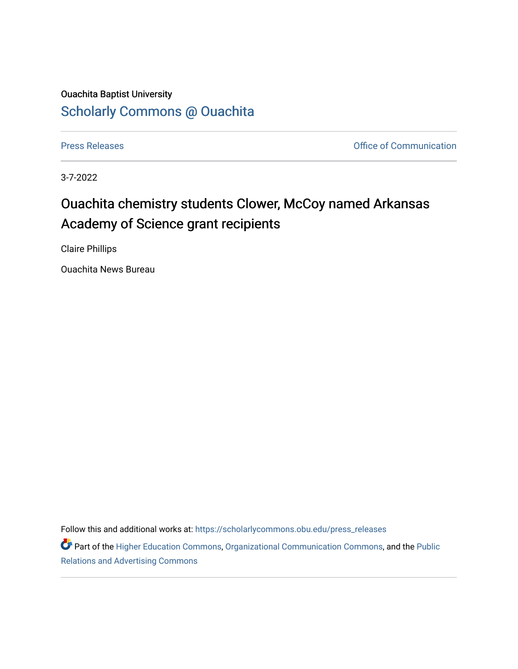## Ouachita Baptist University [Scholarly Commons @ Ouachita](https://scholarlycommons.obu.edu/)

[Press Releases](https://scholarlycommons.obu.edu/press_releases) **Press Releases Communication Press Releases Office of Communication** 

3-7-2022

## Ouachita chemistry students Clower, McCoy named Arkansas Academy of Science grant recipients

Claire Phillips

Ouachita News Bureau

Follow this and additional works at: [https://scholarlycommons.obu.edu/press\\_releases](https://scholarlycommons.obu.edu/press_releases?utm_source=scholarlycommons.obu.edu%2Fpress_releases%2F1064&utm_medium=PDF&utm_campaign=PDFCoverPages)

Part of the [Higher Education Commons,](http://network.bepress.com/hgg/discipline/1245?utm_source=scholarlycommons.obu.edu%2Fpress_releases%2F1064&utm_medium=PDF&utm_campaign=PDFCoverPages) [Organizational Communication Commons,](http://network.bepress.com/hgg/discipline/335?utm_source=scholarlycommons.obu.edu%2Fpress_releases%2F1064&utm_medium=PDF&utm_campaign=PDFCoverPages) and the [Public](http://network.bepress.com/hgg/discipline/336?utm_source=scholarlycommons.obu.edu%2Fpress_releases%2F1064&utm_medium=PDF&utm_campaign=PDFCoverPages) [Relations and Advertising Commons](http://network.bepress.com/hgg/discipline/336?utm_source=scholarlycommons.obu.edu%2Fpress_releases%2F1064&utm_medium=PDF&utm_campaign=PDFCoverPages)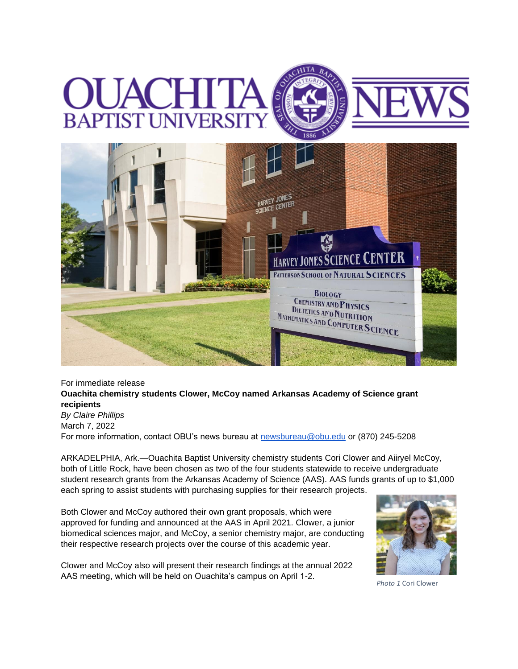## **BAPTIST UNI**



## For immediate release **Ouachita chemistry students Clower, McCoy named Arkansas Academy of Science grant recipients**

*By Claire Phillips* March 7, 2022 For more information, contact OBU's news bureau at [newsbureau@obu.edu](mailto:newsbureau@obu.edu) or (870) 245-5208

ARKADELPHIA, Ark.—Ouachita Baptist University chemistry students Cori Clower and Aiiryel McCoy, both of Little Rock, have been chosen as two of the four students statewide to receive undergraduate student research grants from the Arkansas Academy of Science (AAS). AAS funds grants of up to \$1,000 each spring to assist students with purchasing supplies for their research projects.

Both Clower and McCoy authored their own grant proposals, which were approved for funding and announced at the AAS in April 2021. Clower, a junior biomedical sciences major, and McCoy, a senior chemistry major, are conducting their respective research projects over the course of this academic year.

Clower and McCoy also will present their research findings at the annual 2022 AAS meeting, which will be held on Ouachita's campus on April 1-2.



*Photo 1* Cori Clower